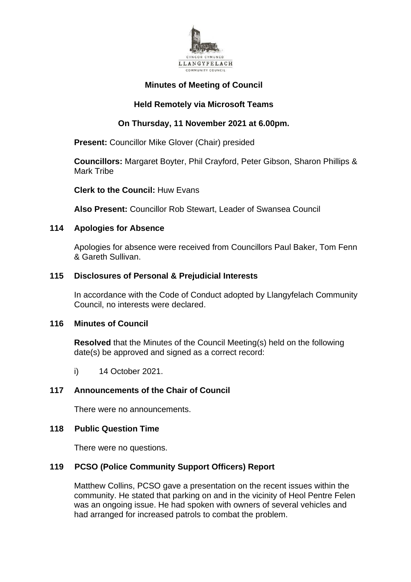

# **Minutes of Meeting of Council**

# **Held Remotely via Microsoft Teams**

# **On Thursday, 11 November 2021 at 6.00pm.**

**Present:** Councillor Mike Glover (Chair) presided

**Councillors:** Margaret Boyter, Phil Crayford, Peter Gibson, Sharon Phillips & Mark Tribe

**Clerk to the Council:** Huw Evans

**Also Present:** Councillor Rob Stewart, Leader of Swansea Council

#### **114 Apologies for Absence**

Apologies for absence were received from Councillors Paul Baker, Tom Fenn & Gareth Sullivan.

#### **115 Disclosures of Personal & Prejudicial Interests**

In accordance with the Code of Conduct adopted by Llangyfelach Community Council, no interests were declared.

#### **116 Minutes of Council**

**Resolved** that the Minutes of the Council Meeting(s) held on the following date(s) be approved and signed as a correct record:

i) 14 October 2021.

## **117 Announcements of the Chair of Council**

There were no announcements.

#### **118 Public Question Time**

There were no questions.

## **119 PCSO (Police Community Support Officers) Report**

Matthew Collins, PCSO gave a presentation on the recent issues within the community. He stated that parking on and in the vicinity of Heol Pentre Felen was an ongoing issue. He had spoken with owners of several vehicles and had arranged for increased patrols to combat the problem.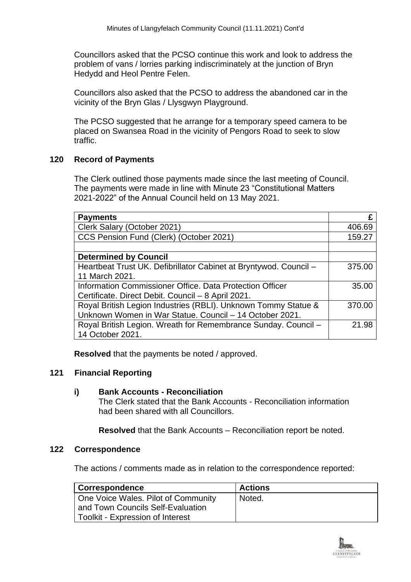Councillors asked that the PCSO continue this work and look to address the problem of vans / lorries parking indiscriminately at the junction of Bryn Hedydd and Heol Pentre Felen.

Councillors also asked that the PCSO to address the abandoned car in the vicinity of the Bryn Glas / Llysgwyn Playground.

The PCSO suggested that he arrange for a temporary speed camera to be placed on Swansea Road in the vicinity of Pengors Road to seek to slow traffic.

## **120 Record of Payments**

The Clerk outlined those payments made since the last meeting of Council. The payments were made in line with Minute 23 "Constitutional Matters 2021-2022" of the Annual Council held on 13 May 2021.

| <b>Payments</b>                                                   |        |
|-------------------------------------------------------------------|--------|
| Clerk Salary (October 2021)                                       | 406.69 |
| CCS Pension Fund (Clerk) (October 2021)                           | 159.27 |
|                                                                   |        |
| <b>Determined by Council</b>                                      |        |
| Heartbeat Trust UK. Defibrillator Cabinet at Bryntywod. Council - | 375.00 |
| 11 March 2021.                                                    |        |
| Information Commissioner Office. Data Protection Officer          | 35.00  |
| Certificate. Direct Debit. Council - 8 April 2021.                |        |
| Royal British Legion Industries (RBLI). Unknown Tommy Statue &    | 370.00 |
| Unknown Women in War Statue. Council - 14 October 2021.           |        |
| Royal British Legion. Wreath for Remembrance Sunday. Council -    | 21.98  |
| 14 October 2021.                                                  |        |

**Resolved** that the payments be noted / approved.

## **121 Financial Reporting**

#### **i) Bank Accounts - Reconciliation**

The Clerk stated that the Bank Accounts - Reconciliation information had been shared with all Councillors.

**Resolved** that the Bank Accounts – Reconciliation report be noted.

#### **122 Correspondence**

The actions / comments made as in relation to the correspondence reported:

| <b>Correspondence</b>                                                                                        | <b>Actions</b> |
|--------------------------------------------------------------------------------------------------------------|----------------|
| One Voice Wales. Pilot of Community<br>and Town Councils Self-Evaluation<br>Toolkit - Expression of Interest | Noted.         |

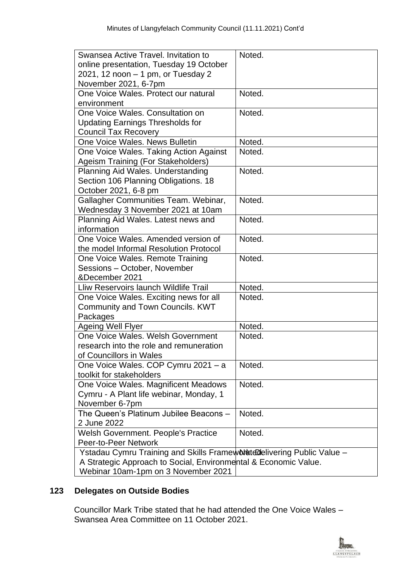| Swansea Active Travel, Invitation to                                     | Noted. |  |
|--------------------------------------------------------------------------|--------|--|
| online presentation, Tuesday 19 October                                  |        |  |
| 2021, 12 noon $-1$ pm, or Tuesday 2                                      |        |  |
| November 2021, 6-7pm                                                     |        |  |
| One Voice Wales. Protect our natural                                     | Noted. |  |
| environment                                                              |        |  |
| One Voice Wales. Consultation on                                         | Noted. |  |
| <b>Updating Earnings Thresholds for</b>                                  |        |  |
| <b>Council Tax Recovery</b>                                              |        |  |
| One Voice Wales. News Bulletin                                           | Noted. |  |
| One Voice Wales. Taking Action Against                                   | Noted. |  |
| <b>Ageism Training (For Stakeholders)</b>                                |        |  |
| Planning Aid Wales. Understanding                                        | Noted. |  |
| Section 106 Planning Obligations. 18                                     |        |  |
| October 2021, 6-8 pm                                                     |        |  |
| Gallagher Communities Team. Webinar,                                     | Noted. |  |
| Wednesday 3 November 2021 at 10am                                        |        |  |
| Planning Aid Wales. Latest news and                                      | Noted. |  |
| information                                                              |        |  |
| One Voice Wales, Amended version of                                      | Noted. |  |
| the model Informal Resolution Protocol                                   |        |  |
| One Voice Wales. Remote Training                                         | Noted. |  |
| Sessions - October, November                                             |        |  |
| &December 2021                                                           |        |  |
| Lliw Reservoirs launch Wildlife Trail                                    | Noted. |  |
| One Voice Wales. Exciting news for all                                   | Noted. |  |
| Community and Town Councils. KWT                                         |        |  |
| Packages                                                                 |        |  |
| <b>Ageing Well Flyer</b>                                                 | Noted. |  |
| One Voice Wales, Welsh Government                                        | Noted. |  |
| research into the role and remuneration                                  |        |  |
| of Councillors in Wales                                                  |        |  |
| One Voice Wales. COP Cymru 2021 - a                                      | Noted. |  |
| toolkit for stakeholders                                                 |        |  |
| One Voice Wales. Magnificent Meadows                                     | Noted. |  |
| Cymru - A Plant life webinar, Monday, 1                                  |        |  |
| November 6-7pm                                                           |        |  |
| The Queen's Platinum Jubilee Beacons -                                   | Noted. |  |
| 2 June 2022                                                              |        |  |
| <b>Welsh Government. People's Practice</b>                               | Noted. |  |
| Peer-to-Peer Network                                                     |        |  |
| Ystadau Cymru Training and Skills Frameworksted elivering Public Value - |        |  |
| A Strategic Approach to Social, Environmental & Economic Value.          |        |  |
| Webinar 10am-1pm on 3 November 2021                                      |        |  |
|                                                                          |        |  |

# **123 Delegates on Outside Bodies**

Councillor Mark Tribe stated that he had attended the One Voice Wales – Swansea Area Committee on 11 October 2021.

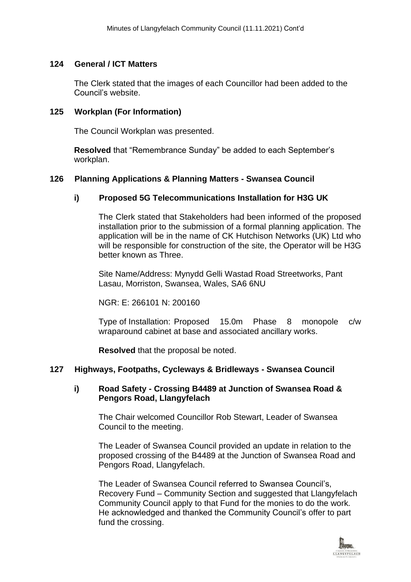#### **124 General / ICT Matters**

The Clerk stated that the images of each Councillor had been added to the Council's website.

## **125 Workplan (For Information)**

The Council Workplan was presented.

**Resolved** that "Remembrance Sunday" be added to each September's workplan.

## **126 Planning Applications & Planning Matters - Swansea Council**

#### **i) Proposed 5G Telecommunications Installation for H3G UK**

The Clerk stated that Stakeholders had been informed of the proposed installation prior to the submission of a formal planning application. The application will be in the name of CK Hutchison Networks (UK) Ltd who will be responsible for construction of the site, the Operator will be H3G better known as Three.

Site Name/Address: Mynydd Gelli Wastad Road Streetworks, Pant Lasau, Morriston, Swansea, Wales, SA6 6NU

NGR: E: 266101 N: 200160

Type of Installation: Proposed 15.0m Phase 8 monopole c/w wraparound cabinet at base and associated ancillary works.

**Resolved** that the proposal be noted.

#### **127 Highways, Footpaths, Cycleways & Bridleways - Swansea Council**

#### **i) Road Safety - Crossing B4489 at Junction of Swansea Road & Pengors Road, Llangyfelach**

The Chair welcomed Councillor Rob Stewart, Leader of Swansea Council to the meeting.

The Leader of Swansea Council provided an update in relation to the proposed crossing of the B4489 at the Junction of Swansea Road and Pengors Road, Llangyfelach.

The Leader of Swansea Council referred to Swansea Council's, Recovery Fund – Community Section and suggested that Llangyfelach Community Council apply to that Fund for the monies to do the work. He acknowledged and thanked the Community Council's offer to part fund the crossing.

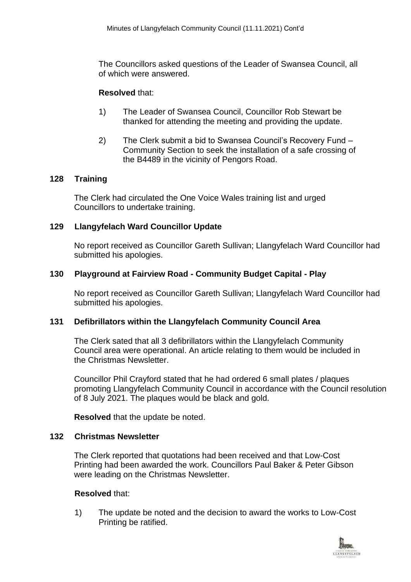The Councillors asked questions of the Leader of Swansea Council, all of which were answered.

#### **Resolved** that:

- 1) The Leader of Swansea Council, Councillor Rob Stewart be thanked for attending the meeting and providing the update.
- 2) The Clerk submit a bid to Swansea Council's Recovery Fund Community Section to seek the installation of a safe crossing of the B4489 in the vicinity of Pengors Road.

#### **128 Training**

The Clerk had circulated the One Voice Wales training list and urged Councillors to undertake training.

#### **129 Llangyfelach Ward Councillor Update**

No report received as Councillor Gareth Sullivan; Llangyfelach Ward Councillor had submitted his apologies.

#### **130 Playground at Fairview Road - Community Budget Capital - Play**

No report received as Councillor Gareth Sullivan; Llangyfelach Ward Councillor had submitted his apologies.

## **131 Defibrillators within the Llangyfelach Community Council Area**

The Clerk sated that all 3 defibrillators within the Llangyfelach Community Council area were operational. An article relating to them would be included in the Christmas Newsletter.

Councillor Phil Crayford stated that he had ordered 6 small plates / plaques promoting Llangyfelach Community Council in accordance with the Council resolution of 8 July 2021. The plaques would be black and gold.

**Resolved** that the update be noted.

## **132 Christmas Newsletter**

The Clerk reported that quotations had been received and that Low-Cost Printing had been awarded the work. Councillors Paul Baker & Peter Gibson were leading on the Christmas Newsletter.

#### **Resolved** that:

1) The update be noted and the decision to award the works to Low-Cost Printing be ratified.

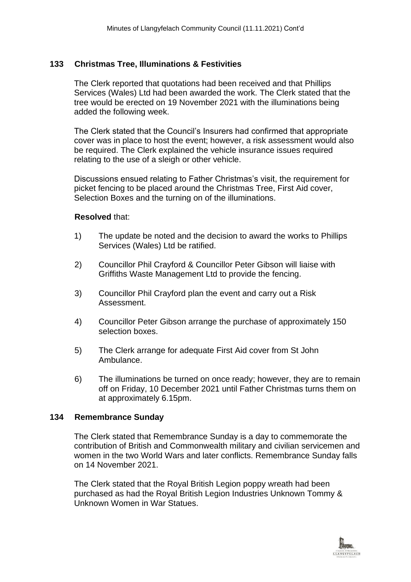## **133 Christmas Tree, Illuminations & Festivities**

The Clerk reported that quotations had been received and that Phillips Services (Wales) Ltd had been awarded the work. The Clerk stated that the tree would be erected on 19 November 2021 with the illuminations being added the following week.

The Clerk stated that the Council's Insurers had confirmed that appropriate cover was in place to host the event; however, a risk assessment would also be required. The Clerk explained the vehicle insurance issues required relating to the use of a sleigh or other vehicle.

Discussions ensued relating to Father Christmas's visit, the requirement for picket fencing to be placed around the Christmas Tree, First Aid cover, Selection Boxes and the turning on of the illuminations.

## **Resolved** that:

- 1) The update be noted and the decision to award the works to Phillips Services (Wales) Ltd be ratified.
- 2) Councillor Phil Crayford & Councillor Peter Gibson will liaise with Griffiths Waste Management Ltd to provide the fencing.
- 3) Councillor Phil Crayford plan the event and carry out a Risk Assessment.
- 4) Councillor Peter Gibson arrange the purchase of approximately 150 selection boxes.
- 5) The Clerk arrange for adequate First Aid cover from St John Ambulance.
- 6) The illuminations be turned on once ready; however, they are to remain off on Friday, 10 December 2021 until Father Christmas turns them on at approximately 6.15pm.

## **134 Remembrance Sunday**

The Clerk stated that Remembrance Sunday is a day to commemorate the contribution of British and Commonwealth military and civilian servicemen and women in the two World Wars and later conflicts. Remembrance Sunday falls on 14 November 2021.

The Clerk stated that the Royal British Legion poppy wreath had been purchased as had the Royal British Legion Industries Unknown Tommy & Unknown Women in War Statues.

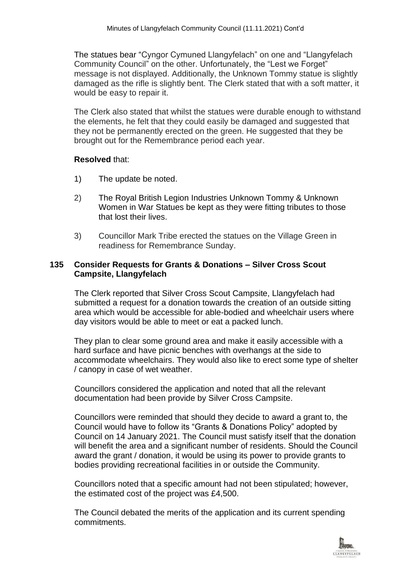The statues bear "Cyngor Cymuned Llangyfelach" on one and "Llangyfelach Community Council" on the other. Unfortunately, the "Lest we Forget" message is not displayed. Additionally, the Unknown Tommy statue is slightly damaged as the rifle is slightly bent. The Clerk stated that with a soft matter, it would be easy to repair it.

The Clerk also stated that whilst the statues were durable enough to withstand the elements, he felt that they could easily be damaged and suggested that they not be permanently erected on the green. He suggested that they be brought out for the Remembrance period each year.

#### **Resolved** that:

- 1) The update be noted.
- 2) The Royal British Legion Industries Unknown Tommy & Unknown Women in War Statues be kept as they were fitting tributes to those that lost their lives.
- 3) Councillor Mark Tribe erected the statues on the Village Green in readiness for Remembrance Sunday.

#### **135 Consider Requests for Grants & Donations – Silver Cross Scout Campsite, Llangyfelach**

The Clerk reported that Silver Cross Scout Campsite, Llangyfelach had submitted a request for a donation towards the creation of an outside sitting area which would be accessible for able-bodied and wheelchair users where day visitors would be able to meet or eat a packed lunch.

They plan to clear some ground area and make it easily accessible with a hard surface and have picnic benches with overhangs at the side to accommodate wheelchairs. They would also like to erect some type of shelter / canopy in case of wet weather.

Councillors considered the application and noted that all the relevant documentation had been provide by Silver Cross Campsite.

Councillors were reminded that should they decide to award a grant to, the Council would have to follow its "Grants & Donations Policy" adopted by Council on 14 January 2021. The Council must satisfy itself that the donation will benefit the area and a significant number of residents. Should the Council award the grant / donation, it would be using its power to provide grants to bodies providing recreational facilities in or outside the Community.

Councillors noted that a specific amount had not been stipulated; however, the estimated cost of the project was £4,500.

The Council debated the merits of the application and its current spending commitments.